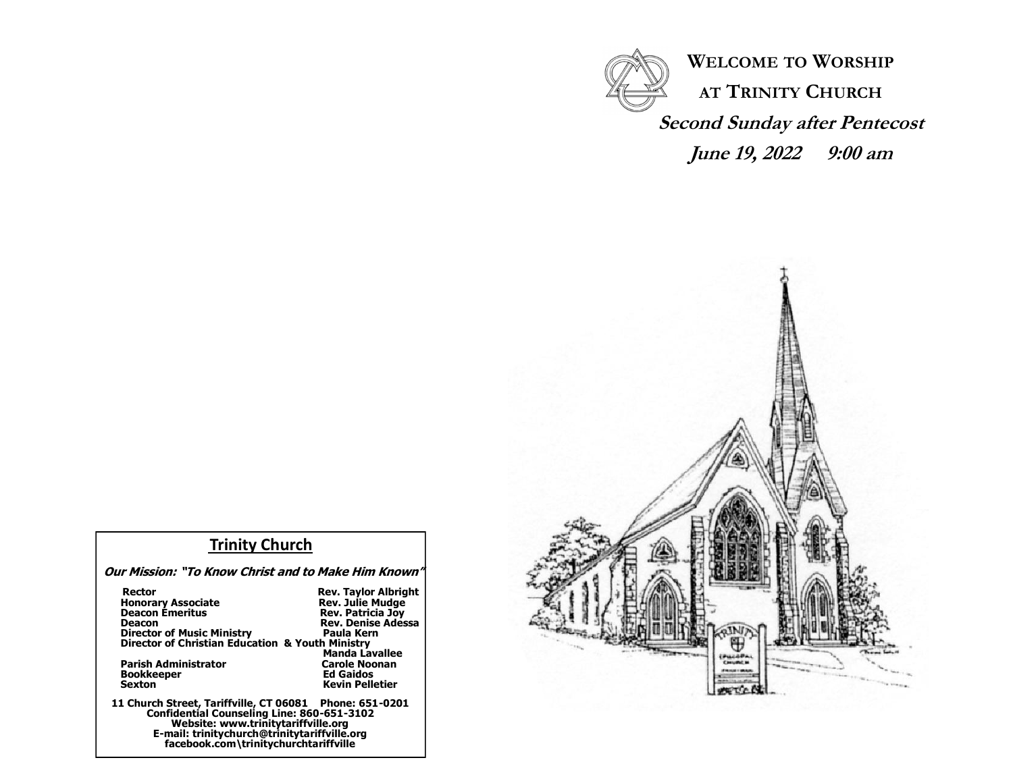

**WELCOME TO WORSHIP AT TRINITY CHURCH Second Sunday after Pentecost June 19, 2022 9:00 am**



## **Trinity Church**

 **Our Mission: "To Know Christ and to Make Him Known"**

| Rector<br><b>Honorary Associate</b><br><b>Deacon Émeritus</b><br>Deacon<br><b>Director of Music Ministry</b>                                                                                                                           | <b>Rev. Taylor Albright</b><br><b>Rev. Julie Mudge</b><br><b>Rev. Patricia Joy</b><br><b>Rev. Denise Adessa</b><br>Paula Kern |
|----------------------------------------------------------------------------------------------------------------------------------------------------------------------------------------------------------------------------------------|-------------------------------------------------------------------------------------------------------------------------------|
| Director of Christian Education & Youth Ministry                                                                                                                                                                                       |                                                                                                                               |
| Parish Administrator<br><b>Bookkeeper</b><br><b>Sexton</b>                                                                                                                                                                             | <b>Manda Lavallee</b><br><b>Carole Noonan</b><br><b>Ed Gaidos</b><br><b>Kevin Pelletier</b>                                   |
| 11 Church Street, Tariffville, CT 06081  Phone: 651-0201<br>Confidential Counseling Line: 860-651-3102<br>Website: www.trinitytariffville.org<br>E-mail: trinitychurch@trinitytariffville.org<br>facebook.com\trinitychurchtariffville |                                                                                                                               |